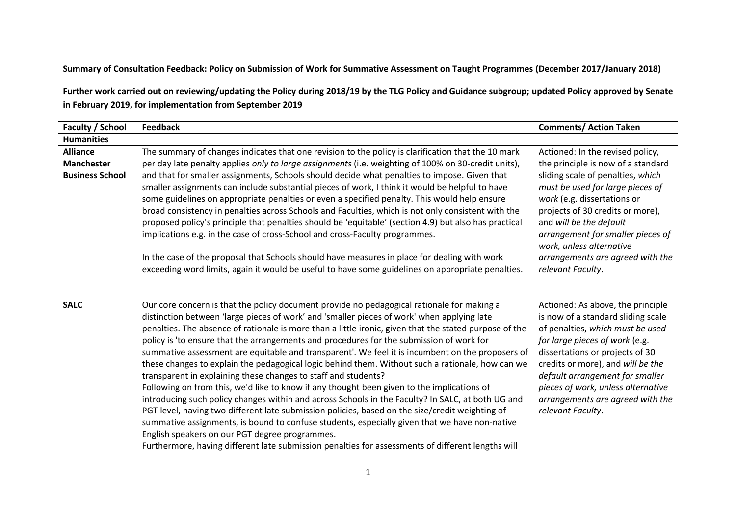## **Summary of Consultation Feedback: Policy on Submission of Work for Summative Assessment on Taught Programmes (December 2017/January 2018)**

**Further work carried out on reviewing/updating the Policy during 2018/19 by the TLG Policy and Guidance subgroup; updated Policy approved by Senate in February 2019, for implementation from September 2019**

| Faculty / School                                               | <b>Feedback</b>                                                                                                                                                                                                                                                                                                                                                                                                                                                                                                                                                                                                                                                                                                                                                                                                                                                                                                                                                                                                                                                                                                                                                                                                                        | <b>Comments/ Action Taken</b>                                                                                                                                                                                                                                                                                                                                           |
|----------------------------------------------------------------|----------------------------------------------------------------------------------------------------------------------------------------------------------------------------------------------------------------------------------------------------------------------------------------------------------------------------------------------------------------------------------------------------------------------------------------------------------------------------------------------------------------------------------------------------------------------------------------------------------------------------------------------------------------------------------------------------------------------------------------------------------------------------------------------------------------------------------------------------------------------------------------------------------------------------------------------------------------------------------------------------------------------------------------------------------------------------------------------------------------------------------------------------------------------------------------------------------------------------------------|-------------------------------------------------------------------------------------------------------------------------------------------------------------------------------------------------------------------------------------------------------------------------------------------------------------------------------------------------------------------------|
| <b>Humanities</b>                                              |                                                                                                                                                                                                                                                                                                                                                                                                                                                                                                                                                                                                                                                                                                                                                                                                                                                                                                                                                                                                                                                                                                                                                                                                                                        |                                                                                                                                                                                                                                                                                                                                                                         |
| <b>Alliance</b><br><b>Manchester</b><br><b>Business School</b> | The summary of changes indicates that one revision to the policy is clarification that the 10 mark<br>per day late penalty applies only to large assignments (i.e. weighting of 100% on 30-credit units),<br>and that for smaller assignments, Schools should decide what penalties to impose. Given that<br>smaller assignments can include substantial pieces of work, I think it would be helpful to have<br>some guidelines on appropriate penalties or even a specified penalty. This would help ensure<br>broad consistency in penalties across Schools and Faculties, which is not only consistent with the<br>proposed policy's principle that penalties should be 'equitable' (section 4.9) but also has practical<br>implications e.g. in the case of cross-School and cross-Faculty programmes.<br>In the case of the proposal that Schools should have measures in place for dealing with work<br>exceeding word limits, again it would be useful to have some guidelines on appropriate penalties.                                                                                                                                                                                                                        | Actioned: In the revised policy,<br>the principle is now of a standard<br>sliding scale of penalties, which<br>must be used for large pieces of<br>work (e.g. dissertations or<br>projects of 30 credits or more),<br>and will be the default<br>arrangement for smaller pieces of<br>work, unless alternative<br>arrangements are agreed with the<br>relevant Faculty. |
| <b>SALC</b>                                                    | Our core concern is that the policy document provide no pedagogical rationale for making a<br>distinction between 'large pieces of work' and 'smaller pieces of work' when applying late<br>penalties. The absence of rationale is more than a little ironic, given that the stated purpose of the<br>policy is 'to ensure that the arrangements and procedures for the submission of work for<br>summative assessment are equitable and transparent'. We feel it is incumbent on the proposers of<br>these changes to explain the pedagogical logic behind them. Without such a rationale, how can we<br>transparent in explaining these changes to staff and students?<br>Following on from this, we'd like to know if any thought been given to the implications of<br>introducing such policy changes within and across Schools in the Faculty? In SALC, at both UG and<br>PGT level, having two different late submission policies, based on the size/credit weighting of<br>summative assignments, is bound to confuse students, especially given that we have non-native<br>English speakers on our PGT degree programmes.<br>Furthermore, having different late submission penalties for assessments of different lengths will | Actioned: As above, the principle<br>is now of a standard sliding scale<br>of penalties, which must be used<br>for large pieces of work (e.g.<br>dissertations or projects of 30<br>credits or more), and will be the<br>default arrangement for smaller<br>pieces of work, unless alternative<br>arrangements are agreed with the<br>relevant Faculty.                 |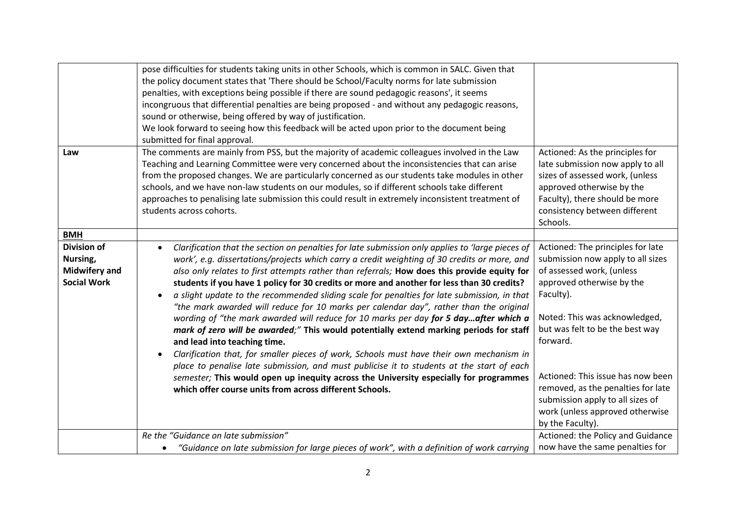|                                                        | pose difficulties for students taking units in other Schools, which is common in SALC. Given that<br>the policy document states that 'There should be School/Faculty norms for late submission<br>penalties, with exceptions being possible if there are sound pedagogic reasons', it seems<br>incongruous that differential penalties are being proposed - and without any pedagogic reasons,<br>sound or otherwise, being offered by way of justification.<br>We look forward to seeing how this feedback will be acted upon prior to the document being<br>submitted for final approval.                                                                                                                                                                                                                                                                                                                                                                                                                                                                    |                                                                                                                                                                                                                                                                                                                                                                |
|--------------------------------------------------------|----------------------------------------------------------------------------------------------------------------------------------------------------------------------------------------------------------------------------------------------------------------------------------------------------------------------------------------------------------------------------------------------------------------------------------------------------------------------------------------------------------------------------------------------------------------------------------------------------------------------------------------------------------------------------------------------------------------------------------------------------------------------------------------------------------------------------------------------------------------------------------------------------------------------------------------------------------------------------------------------------------------------------------------------------------------|----------------------------------------------------------------------------------------------------------------------------------------------------------------------------------------------------------------------------------------------------------------------------------------------------------------------------------------------------------------|
| Law                                                    | The comments are mainly from PSS, but the majority of academic colleagues involved in the Law<br>Teaching and Learning Committee were very concerned about the inconsistencies that can arise<br>from the proposed changes. We are particularly concerned as our students take modules in other<br>schools, and we have non-law students on our modules, so if different schools take different<br>approaches to penalising late submission this could result in extremely inconsistent treatment of<br>students across cohorts.                                                                                                                                                                                                                                                                                                                                                                                                                                                                                                                               | Actioned: As the principles for<br>late submission now apply to all<br>sizes of assessed work, (unless<br>approved otherwise by the<br>Faculty), there should be more<br>consistency between different<br>Schools.                                                                                                                                             |
| <b>BMH</b><br><b>Division of</b>                       | Clarification that the section on penalties for late submission only applies to 'large pieces of<br>$\bullet$                                                                                                                                                                                                                                                                                                                                                                                                                                                                                                                                                                                                                                                                                                                                                                                                                                                                                                                                                  | Actioned: The principles for late                                                                                                                                                                                                                                                                                                                              |
| Nursing,<br><b>Midwifery and</b><br><b>Social Work</b> | work', e.g. dissertations/projects which carry a credit weighting of 30 credits or more, and<br>also only relates to first attempts rather than referrals; How does this provide equity for<br>students if you have 1 policy for 30 credits or more and another for less than 30 credits?<br>a slight update to the recommended sliding scale for penalties for late submission, in that<br>$\bullet$<br>"the mark awarded will reduce for 10 marks per calendar day", rather than the original<br>wording of "the mark awarded will reduce for 10 marks per day for 5 dayafter which a<br>mark of zero will be awarded;" This would potentially extend marking periods for staff<br>and lead into teaching time.<br>Clarification that, for smaller pieces of work, Schools must have their own mechanism in<br>place to penalise late submission, and must publicise it to students at the start of each<br>semester; This would open up inequity across the University especially for programmes<br>which offer course units from across different Schools. | submission now apply to all sizes<br>of assessed work, (unless<br>approved otherwise by the<br>Faculty).<br>Noted: This was acknowledged,<br>but was felt to be the best way<br>forward.<br>Actioned: This issue has now been<br>removed, as the penalties for late<br>submission apply to all sizes of<br>work (unless approved otherwise<br>by the Faculty). |
|                                                        | Re the "Guidance on late submission"                                                                                                                                                                                                                                                                                                                                                                                                                                                                                                                                                                                                                                                                                                                                                                                                                                                                                                                                                                                                                           | Actioned: the Policy and Guidance                                                                                                                                                                                                                                                                                                                              |
|                                                        | "Guidance on late submission for large pieces of work", with a definition of work carrying                                                                                                                                                                                                                                                                                                                                                                                                                                                                                                                                                                                                                                                                                                                                                                                                                                                                                                                                                                     | now have the same penalties for                                                                                                                                                                                                                                                                                                                                |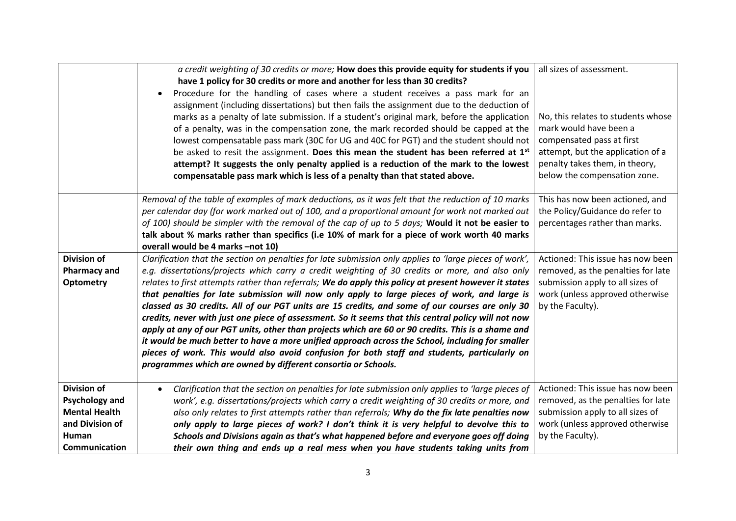|                                                        | a credit weighting of 30 credits or more; How does this provide equity for students if you<br>have 1 policy for 30 credits or more and another for less than 30 credits?<br>Procedure for the handling of cases where a student receives a pass mark for an<br>٠<br>assignment (including dissertations) but then fails the assignment due to the deduction of<br>marks as a penalty of late submission. If a student's original mark, before the application<br>of a penalty, was in the compensation zone, the mark recorded should be capped at the<br>lowest compensatable pass mark (30C for UG and 40C for PGT) and the student should not<br>be asked to resit the assignment. Does this mean the student has been referred at 1 <sup>st</sup><br>attempt? It suggests the only penalty applied is a reduction of the mark to the lowest<br>compensatable pass mark which is less of a penalty than that stated above.                                                                            | all sizes of assessment.<br>No, this relates to students whose<br>mark would have been a<br>compensated pass at first<br>attempt, but the application of a<br>penalty takes them, in theory,<br>below the compensation zone. |
|--------------------------------------------------------|----------------------------------------------------------------------------------------------------------------------------------------------------------------------------------------------------------------------------------------------------------------------------------------------------------------------------------------------------------------------------------------------------------------------------------------------------------------------------------------------------------------------------------------------------------------------------------------------------------------------------------------------------------------------------------------------------------------------------------------------------------------------------------------------------------------------------------------------------------------------------------------------------------------------------------------------------------------------------------------------------------|------------------------------------------------------------------------------------------------------------------------------------------------------------------------------------------------------------------------------|
|                                                        | Removal of the table of examples of mark deductions, as it was felt that the reduction of 10 marks<br>per calendar day (for work marked out of 100, and a proportional amount for work not marked out<br>of 100) should be simpler with the removal of the cap of up to 5 days; Would it not be easier to<br>talk about % marks rather than specifics (i.e 10% of mark for a piece of work worth 40 marks<br>overall would be 4 marks -not 10)                                                                                                                                                                                                                                                                                                                                                                                                                                                                                                                                                           | This has now been actioned, and<br>the Policy/Guidance do refer to<br>percentages rather than marks.                                                                                                                         |
| <b>Division of</b><br><b>Pharmacy and</b><br>Optometry | Clarification that the section on penalties for late submission only applies to 'large pieces of work',<br>e.g. dissertations/projects which carry a credit weighting of 30 credits or more, and also only<br>relates to first attempts rather than referrals; We do apply this policy at present however it states<br>that penalties for late submission will now only apply to large pieces of work, and large is<br>classed as 30 credits. All of our PGT units are 15 credits, and some of our courses are only 30<br>credits, never with just one piece of assessment. So it seems that this central policy will not now<br>apply at any of our PGT units, other than projects which are 60 or 90 credits. This is a shame and<br>it would be much better to have a more unified approach across the School, including for smaller<br>pieces of work. This would also avoid confusion for both staff and students, particularly on<br>programmes which are owned by different consortia or Schools. | Actioned: This issue has now been<br>removed, as the penalties for late<br>submission apply to all sizes of<br>work (unless approved otherwise<br>by the Faculty).                                                           |
| <b>Division of</b><br><b>Psychology and</b>            | Clarification that the section on penalties for late submission only applies to 'large pieces of<br>$\bullet$<br>work', e.g. dissertations/projects which carry a credit weighting of 30 credits or more, and                                                                                                                                                                                                                                                                                                                                                                                                                                                                                                                                                                                                                                                                                                                                                                                            | Actioned: This issue has now been<br>removed, as the penalties for late                                                                                                                                                      |
| <b>Mental Health</b><br>and Division of                | also only relates to first attempts rather than referrals; Why do the fix late penalties now<br>only apply to large pieces of work? I don't think it is very helpful to devolve this to                                                                                                                                                                                                                                                                                                                                                                                                                                                                                                                                                                                                                                                                                                                                                                                                                  | submission apply to all sizes of<br>work (unless approved otherwise                                                                                                                                                          |
| Human                                                  | Schools and Divisions again as that's what happened before and everyone goes off doing                                                                                                                                                                                                                                                                                                                                                                                                                                                                                                                                                                                                                                                                                                                                                                                                                                                                                                                   | by the Faculty).                                                                                                                                                                                                             |
| Communication                                          | their own thing and ends up a real mess when you have students taking units from                                                                                                                                                                                                                                                                                                                                                                                                                                                                                                                                                                                                                                                                                                                                                                                                                                                                                                                         |                                                                                                                                                                                                                              |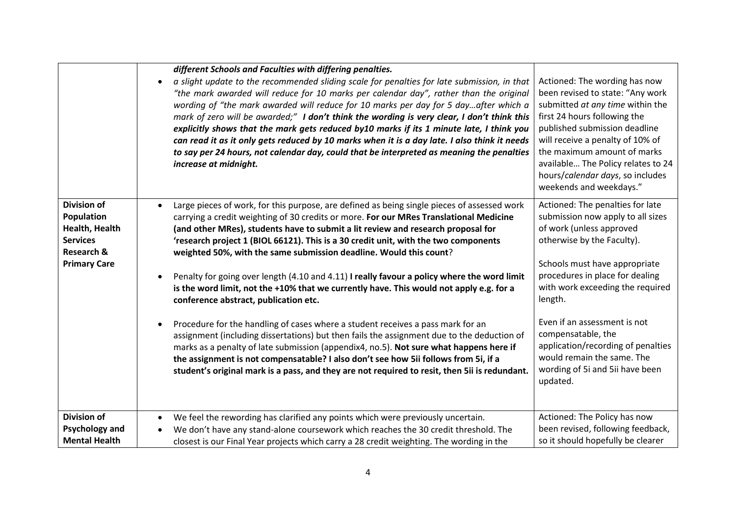|                                                                                                                       | different Schools and Faculties with differing penalties.<br>a slight update to the recommended sliding scale for penalties for late submission, in that<br>$\bullet$<br>"the mark awarded will reduce for 10 marks per calendar day", rather than the original<br>wording of "the mark awarded will reduce for 10 marks per day for 5 dayafter which a<br>mark of zero will be awarded;" I don't think the wording is very clear, I don't think this<br>explicitly shows that the mark gets reduced by10 marks if its 1 minute late, I think you<br>can read it as it only gets reduced by 10 marks when it is a day late. I also think it needs<br>to say per 24 hours, not calendar day, could that be interpreted as meaning the penalties<br>increase at midnight.                                                                                                                                                                                                                                                                                                                                                                                   | Actioned: The wording has now<br>been revised to state: "Any work<br>submitted at any time within the<br>first 24 hours following the<br>published submission deadline<br>will receive a penalty of 10% of<br>the maximum amount of marks<br>available The Policy relates to 24<br>hours/calendar days, so includes<br>weekends and weekdays."                                                                              |
|-----------------------------------------------------------------------------------------------------------------------|-----------------------------------------------------------------------------------------------------------------------------------------------------------------------------------------------------------------------------------------------------------------------------------------------------------------------------------------------------------------------------------------------------------------------------------------------------------------------------------------------------------------------------------------------------------------------------------------------------------------------------------------------------------------------------------------------------------------------------------------------------------------------------------------------------------------------------------------------------------------------------------------------------------------------------------------------------------------------------------------------------------------------------------------------------------------------------------------------------------------------------------------------------------|-----------------------------------------------------------------------------------------------------------------------------------------------------------------------------------------------------------------------------------------------------------------------------------------------------------------------------------------------------------------------------------------------------------------------------|
| <b>Division of</b><br>Population<br>Health, Health<br><b>Services</b><br><b>Research &amp;</b><br><b>Primary Care</b> | Large pieces of work, for this purpose, are defined as being single pieces of assessed work<br>$\bullet$<br>carrying a credit weighting of 30 credits or more. For our MRes Translational Medicine<br>(and other MRes), students have to submit a lit review and research proposal for<br>'research project 1 (BIOL 66121). This is a 30 credit unit, with the two components<br>weighted 50%, with the same submission deadline. Would this count?<br>Penalty for going over length (4.10 and 4.11) I really favour a policy where the word limit<br>is the word limit, not the +10% that we currently have. This would not apply e.g. for a<br>conference abstract, publication etc.<br>Procedure for the handling of cases where a student receives a pass mark for an<br>assignment (including dissertations) but then fails the assignment due to the deduction of<br>marks as a penalty of late submission (appendix4, no.5). Not sure what happens here if<br>the assignment is not compensatable? I also don't see how 5ii follows from 5i, if a<br>student's original mark is a pass, and they are not required to resit, then 5ii is redundant. | Actioned: The penalties for late<br>submission now apply to all sizes<br>of work (unless approved<br>otherwise by the Faculty).<br>Schools must have appropriate<br>procedures in place for dealing<br>with work exceeding the required<br>length.<br>Even if an assessment is not<br>compensatable, the<br>application/recording of penalties<br>would remain the same. The<br>wording of 5i and 5ii have been<br>updated. |
| <b>Division of</b><br><b>Psychology and</b><br><b>Mental Health</b>                                                   | We feel the rewording has clarified any points which were previously uncertain.<br>We don't have any stand-alone coursework which reaches the 30 credit threshold. The<br>closest is our Final Year projects which carry a 28 credit weighting. The wording in the                                                                                                                                                                                                                                                                                                                                                                                                                                                                                                                                                                                                                                                                                                                                                                                                                                                                                        | Actioned: The Policy has now<br>been revised, following feedback,<br>so it should hopefully be clearer                                                                                                                                                                                                                                                                                                                      |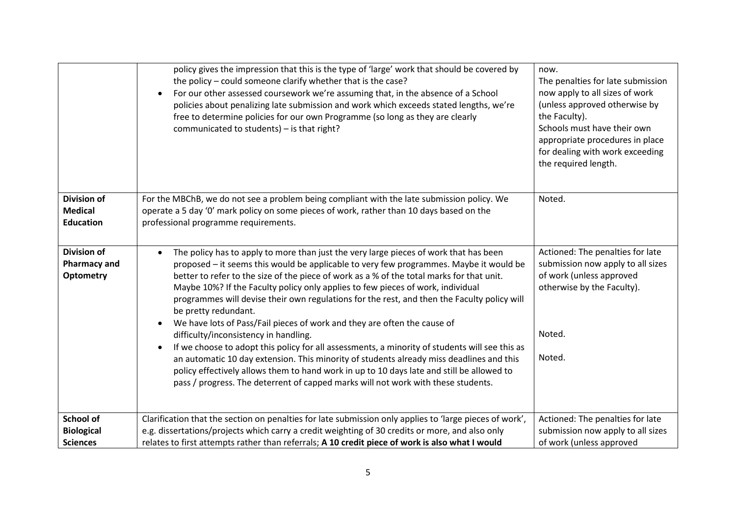|                                                               | policy gives the impression that this is the type of 'large' work that should be covered by<br>the policy – could someone clarify whether that is the case?<br>For our other assessed coursework we're assuming that, in the absence of a School<br>$\bullet$<br>policies about penalizing late submission and work which exceeds stated lengths, we're<br>free to determine policies for our own Programme (so long as they are clearly<br>communicated to students) - is that right?                                                                                                                                                                                                                                                                                                                                                                                                                                                                                                                                             | now.<br>The penalties for late submission<br>now apply to all sizes of work<br>(unless approved otherwise by<br>the Faculty).<br>Schools must have their own<br>appropriate procedures in place<br>for dealing with work exceeding<br>the required length. |
|---------------------------------------------------------------|------------------------------------------------------------------------------------------------------------------------------------------------------------------------------------------------------------------------------------------------------------------------------------------------------------------------------------------------------------------------------------------------------------------------------------------------------------------------------------------------------------------------------------------------------------------------------------------------------------------------------------------------------------------------------------------------------------------------------------------------------------------------------------------------------------------------------------------------------------------------------------------------------------------------------------------------------------------------------------------------------------------------------------|------------------------------------------------------------------------------------------------------------------------------------------------------------------------------------------------------------------------------------------------------------|
| <b>Division of</b><br><b>Medical</b><br><b>Education</b>      | For the MBChB, we do not see a problem being compliant with the late submission policy. We<br>operate a 5 day '0' mark policy on some pieces of work, rather than 10 days based on the<br>professional programme requirements.                                                                                                                                                                                                                                                                                                                                                                                                                                                                                                                                                                                                                                                                                                                                                                                                     | Noted.                                                                                                                                                                                                                                                     |
| <b>Division of</b><br><b>Pharmacy and</b><br><b>Optometry</b> | The policy has to apply to more than just the very large pieces of work that has been<br>$\bullet$<br>proposed - it seems this would be applicable to very few programmes. Maybe it would be<br>better to refer to the size of the piece of work as a % of the total marks for that unit.<br>Maybe 10%? If the Faculty policy only applies to few pieces of work, individual<br>programmes will devise their own regulations for the rest, and then the Faculty policy will<br>be pretty redundant.<br>We have lots of Pass/Fail pieces of work and they are often the cause of<br>$\bullet$<br>difficulty/inconsistency in handling.<br>If we choose to adopt this policy for all assessments, a minority of students will see this as<br>$\bullet$<br>an automatic 10 day extension. This minority of students already miss deadlines and this<br>policy effectively allows them to hand work in up to 10 days late and still be allowed to<br>pass / progress. The deterrent of capped marks will not work with these students. | Actioned: The penalties for late<br>submission now apply to all sizes<br>of work (unless approved<br>otherwise by the Faculty).<br>Noted.<br>Noted.                                                                                                        |
| School of                                                     | Clarification that the section on penalties for late submission only applies to 'large pieces of work',                                                                                                                                                                                                                                                                                                                                                                                                                                                                                                                                                                                                                                                                                                                                                                                                                                                                                                                            | Actioned: The penalties for late                                                                                                                                                                                                                           |
| <b>Biological</b>                                             | e.g. dissertations/projects which carry a credit weighting of 30 credits or more, and also only                                                                                                                                                                                                                                                                                                                                                                                                                                                                                                                                                                                                                                                                                                                                                                                                                                                                                                                                    | submission now apply to all sizes                                                                                                                                                                                                                          |
| <b>Sciences</b>                                               | relates to first attempts rather than referrals; A 10 credit piece of work is also what I would                                                                                                                                                                                                                                                                                                                                                                                                                                                                                                                                                                                                                                                                                                                                                                                                                                                                                                                                    | of work (unless approved                                                                                                                                                                                                                                   |